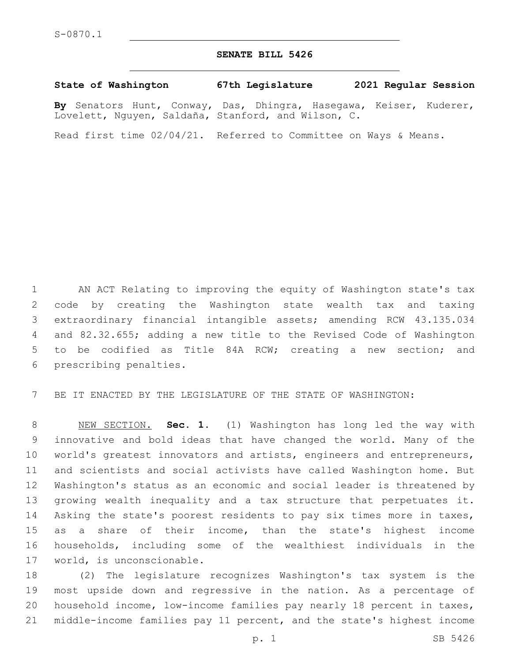## **SENATE BILL 5426**

## **State of Washington 67th Legislature 2021 Regular Session**

**By** Senators Hunt, Conway, Das, Dhingra, Hasegawa, Keiser, Kuderer, Lovelett, Nguyen, Saldaña, Stanford, and Wilson, C.

Read first time 02/04/21. Referred to Committee on Ways & Means.

 AN ACT Relating to improving the equity of Washington state's tax code by creating the Washington state wealth tax and taxing extraordinary financial intangible assets; amending RCW 43.135.034 and 82.32.655; adding a new title to the Revised Code of Washington to be codified as Title 84A RCW; creating a new section; and 6 prescribing penalties.

BE IT ENACTED BY THE LEGISLATURE OF THE STATE OF WASHINGTON:

 NEW SECTION. **Sec. 1.** (1) Washington has long led the way with innovative and bold ideas that have changed the world. Many of the world's greatest innovators and artists, engineers and entrepreneurs, and scientists and social activists have called Washington home. But Washington's status as an economic and social leader is threatened by growing wealth inequality and a tax structure that perpetuates it. Asking the state's poorest residents to pay six times more in taxes, as a share of their income, than the state's highest income households, including some of the wealthiest individuals in the world, is unconscionable.

 (2) The legislature recognizes Washington's tax system is the most upside down and regressive in the nation. As a percentage of household income, low-income families pay nearly 18 percent in taxes, middle-income families pay 11 percent, and the state's highest income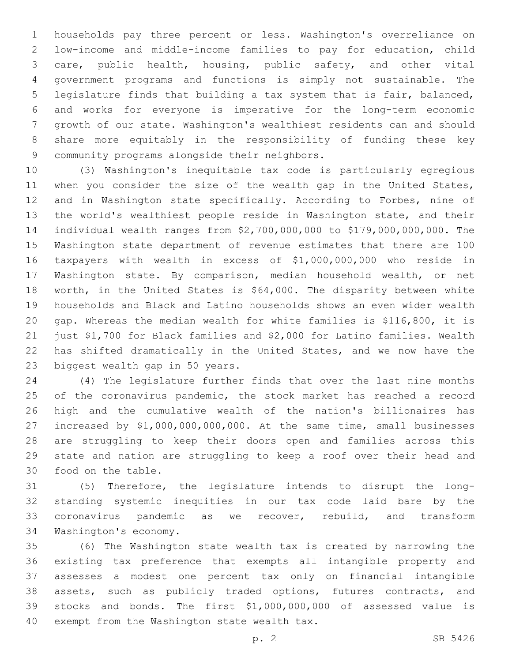households pay three percent or less. Washington's overreliance on low-income and middle-income families to pay for education, child care, public health, housing, public safety, and other vital government programs and functions is simply not sustainable. The legislature finds that building a tax system that is fair, balanced, and works for everyone is imperative for the long-term economic growth of our state. Washington's wealthiest residents can and should share more equitably in the responsibility of funding these key 9 community programs alongside their neighbors.

 (3) Washington's inequitable tax code is particularly egregious 11 when you consider the size of the wealth gap in the United States, and in Washington state specifically. According to Forbes, nine of the world's wealthiest people reside in Washington state, and their individual wealth ranges from \$2,700,000,000 to \$179,000,000,000. The Washington state department of revenue estimates that there are 100 taxpayers with wealth in excess of \$1,000,000,000 who reside in Washington state. By comparison, median household wealth, or net worth, in the United States is \$64,000. The disparity between white households and Black and Latino households shows an even wider wealth gap. Whereas the median wealth for white families is \$116,800, it is just \$1,700 for Black families and \$2,000 for Latino families. Wealth has shifted dramatically in the United States, and we now have the 23 biggest wealth gap in 50 years.

 (4) The legislature further finds that over the last nine months 25 of the coronavirus pandemic, the stock market has reached a record high and the cumulative wealth of the nation's billionaires has increased by \$1,000,000,000,000. At the same time, small businesses are struggling to keep their doors open and families across this state and nation are struggling to keep a roof over their head and 30 food on the table.

 (5) Therefore, the legislature intends to disrupt the long- standing systemic inequities in our tax code laid bare by the coronavirus pandemic as we recover, rebuild, and transform 34 Washington's economy.

 (6) The Washington state wealth tax is created by narrowing the existing tax preference that exempts all intangible property and assesses a modest one percent tax only on financial intangible assets, such as publicly traded options, futures contracts, and stocks and bonds. The first \$1,000,000,000 of assessed value is 40 exempt from the Washington state wealth tax.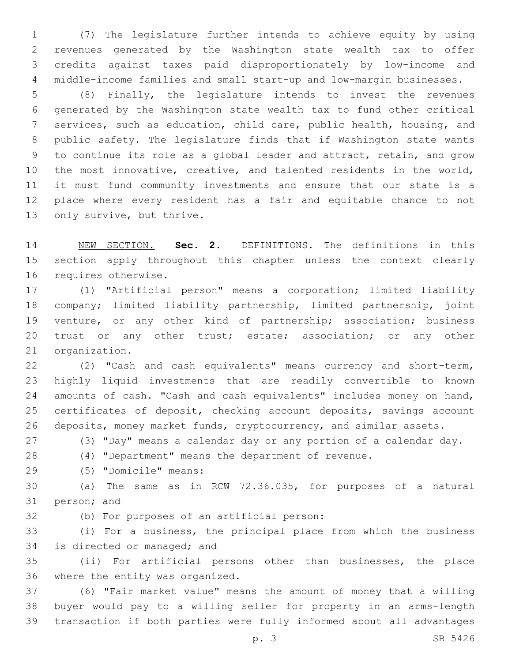(7) The legislature further intends to achieve equity by using revenues generated by the Washington state wealth tax to offer credits against taxes paid disproportionately by low-income and middle-income families and small start-up and low-margin businesses.

 (8) Finally, the legislature intends to invest the revenues generated by the Washington state wealth tax to fund other critical services, such as education, child care, public health, housing, and public safety. The legislature finds that if Washington state wants to continue its role as a global leader and attract, retain, and grow the most innovative, creative, and talented residents in the world, it must fund community investments and ensure that our state is a place where every resident has a fair and equitable chance to not 13 only survive, but thrive.

 NEW SECTION. **Sec. 2.** DEFINITIONS. The definitions in this section apply throughout this chapter unless the context clearly requires otherwise.

 (1) "Artificial person" means a corporation; limited liability company; limited liability partnership, limited partnership, joint venture, or any other kind of partnership; association; business 20 trust or any other trust; estate; association; or any other 21 organization.

 (2) "Cash and cash equivalents" means currency and short-term, highly liquid investments that are readily convertible to known 24 amounts of cash. "Cash and cash equivalents" includes money on hand, certificates of deposit, checking account deposits, savings account 26 deposits, money market funds, cryptocurrency, and similar assets.

(3) "Day" means a calendar day or any portion of a calendar day.

(4) "Department" means the department of revenue.

(5) "Domicile" means:29

 (a) The same as in RCW 72.36.035, for purposes of a natural 31 person; and

32 (b) For purposes of an artificial person:

 (i) For a business, the principal place from which the business 34 is directed or managed; and

 (ii) For artificial persons other than businesses, the place 36 where the entity was organized.

 (6) "Fair market value" means the amount of money that a willing buyer would pay to a willing seller for property in an arms-length transaction if both parties were fully informed about all advantages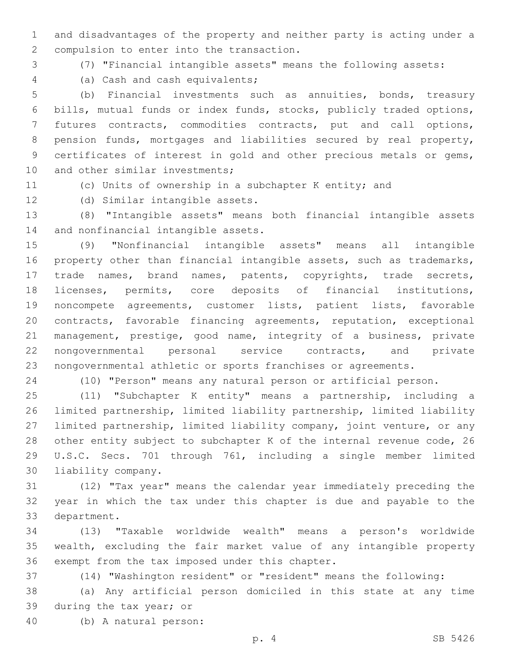and disadvantages of the property and neither party is acting under a 2 compulsion to enter into the transaction.

(7) "Financial intangible assets" means the following assets:

(a) Cash and cash equivalents;4

 (b) Financial investments such as annuities, bonds, treasury bills, mutual funds or index funds, stocks, publicly traded options, futures contracts, commodities contracts, put and call options, pension funds, mortgages and liabilities secured by real property, certificates of interest in gold and other precious metals or gems, 10 and other similar investments;

(c) Units of ownership in a subchapter K entity; and

12 (d) Similar intangible assets.

 (8) "Intangible assets" means both financial intangible assets 14 and nonfinancial intangible assets.

 (9) "Nonfinancial intangible assets" means all intangible property other than financial intangible assets, such as trademarks, trade names, brand names, patents, copyrights, trade secrets, licenses, permits, core deposits of financial institutions, noncompete agreements, customer lists, patient lists, favorable contracts, favorable financing agreements, reputation, exceptional management, prestige, good name, integrity of a business, private nongovernmental personal service contracts, and private nongovernmental athletic or sports franchises or agreements.

(10) "Person" means any natural person or artificial person.

 (11) "Subchapter K entity" means a partnership, including a limited partnership, limited liability partnership, limited liability limited partnership, limited liability company, joint venture, or any other entity subject to subchapter K of the internal revenue code, 26 U.S.C. Secs. 701 through 761, including a single member limited 30 liability company.

 (12) "Tax year" means the calendar year immediately preceding the year in which the tax under this chapter is due and payable to the 33 department.

 (13) "Taxable worldwide wealth" means a person's worldwide wealth, excluding the fair market value of any intangible property 36 exempt from the tax imposed under this chapter.

(14) "Washington resident" or "resident" means the following:

 (a) Any artificial person domiciled in this state at any time 39 during the tax year; or

(b) A natural person:40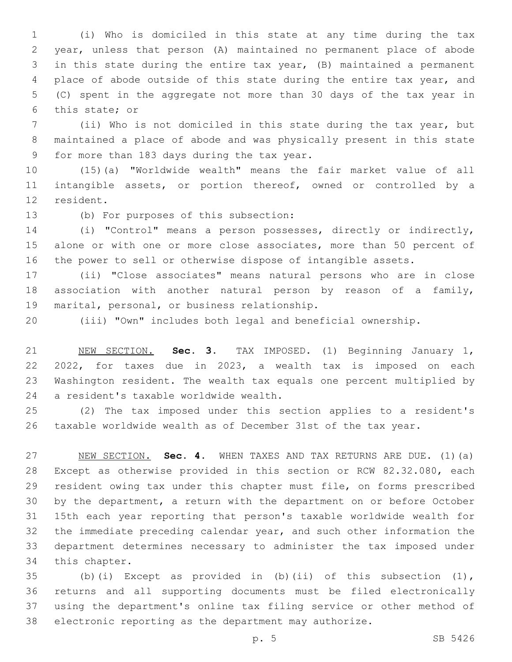(i) Who is domiciled in this state at any time during the tax year, unless that person (A) maintained no permanent place of abode in this state during the entire tax year, (B) maintained a permanent place of abode outside of this state during the entire tax year, and (C) spent in the aggregate not more than 30 days of the tax year in 6 this state; or

 (ii) Who is not domiciled in this state during the tax year, but maintained a place of abode and was physically present in this state 9 for more than 183 days during the tax year.

 (15)(a) "Worldwide wealth" means the fair market value of all intangible assets, or portion thereof, owned or controlled by a 12 resident.

13 (b) For purposes of this subsection:

 (i) "Control" means a person possesses, directly or indirectly, 15 alone or with one or more close associates, more than 50 percent of the power to sell or otherwise dispose of intangible assets.

 (ii) "Close associates" means natural persons who are in close association with another natural person by reason of a family, 19 marital, personal, or business relationship.

(iii) "Own" includes both legal and beneficial ownership.

 NEW SECTION. **Sec. 3.** TAX IMPOSED. (1) Beginning January 1, 2022, for taxes due in 2023, a wealth tax is imposed on each Washington resident. The wealth tax equals one percent multiplied by a resident's taxable worldwide wealth.

 (2) The tax imposed under this section applies to a resident's taxable worldwide wealth as of December 31st of the tax year.

 NEW SECTION. **Sec. 4.** WHEN TAXES AND TAX RETURNS ARE DUE. (1)(a) Except as otherwise provided in this section or RCW 82.32.080, each resident owing tax under this chapter must file, on forms prescribed by the department, a return with the department on or before October 15th each year reporting that person's taxable worldwide wealth for the immediate preceding calendar year, and such other information the department determines necessary to administer the tax imposed under this chapter.

 (b)(i) Except as provided in (b)(ii) of this subsection (1), returns and all supporting documents must be filed electronically using the department's online tax filing service or other method of electronic reporting as the department may authorize.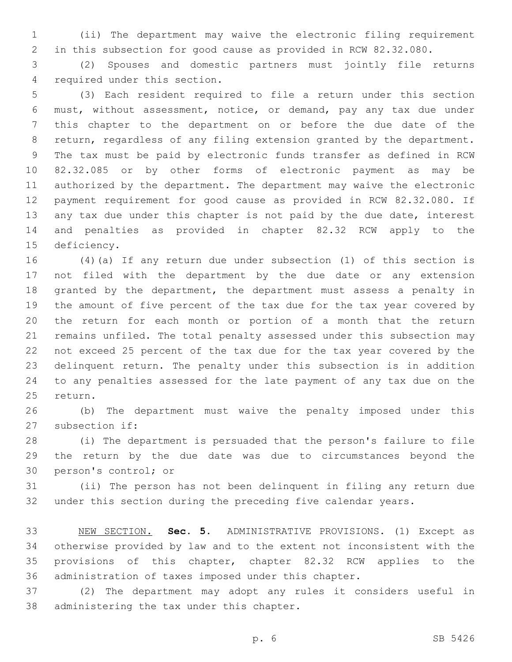(ii) The department may waive the electronic filing requirement in this subsection for good cause as provided in RCW 82.32.080.

 (2) Spouses and domestic partners must jointly file returns 4 required under this section.

 (3) Each resident required to file a return under this section must, without assessment, notice, or demand, pay any tax due under this chapter to the department on or before the due date of the return, regardless of any filing extension granted by the department. The tax must be paid by electronic funds transfer as defined in RCW 82.32.085 or by other forms of electronic payment as may be authorized by the department. The department may waive the electronic payment requirement for good cause as provided in RCW 82.32.080. If 13 any tax due under this chapter is not paid by the due date, interest and penalties as provided in chapter 82.32 RCW apply to the 15 deficiency.

 (4)(a) If any return due under subsection (1) of this section is not filed with the department by the due date or any extension granted by the department, the department must assess a penalty in the amount of five percent of the tax due for the tax year covered by the return for each month or portion of a month that the return remains unfiled. The total penalty assessed under this subsection may not exceed 25 percent of the tax due for the tax year covered by the delinquent return. The penalty under this subsection is in addition to any penalties assessed for the late payment of any tax due on the 25 return.

 (b) The department must waive the penalty imposed under this 27 subsection if:

 (i) The department is persuaded that the person's failure to file the return by the due date was due to circumstances beyond the 30 person's control; or

 (ii) The person has not been delinquent in filing any return due under this section during the preceding five calendar years.

 NEW SECTION. **Sec. 5.** ADMINISTRATIVE PROVISIONS. (1) Except as otherwise provided by law and to the extent not inconsistent with the provisions of this chapter, chapter 82.32 RCW applies to the administration of taxes imposed under this chapter.

 (2) The department may adopt any rules it considers useful in 38 administering the tax under this chapter.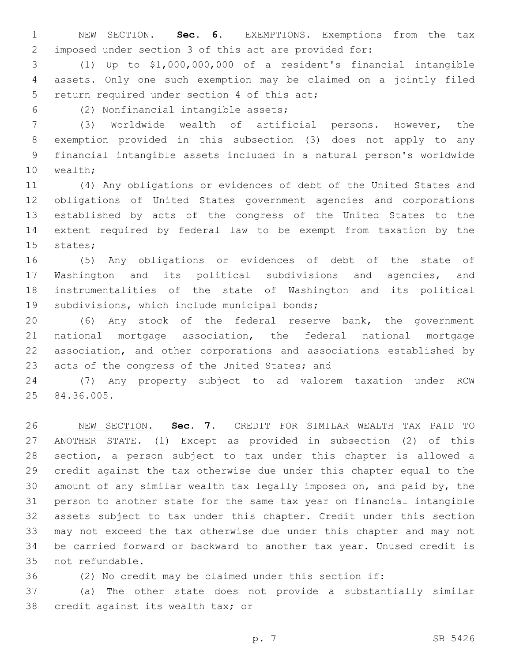NEW SECTION. **Sec. 6.** EXEMPTIONS. Exemptions from the tax imposed under section 3 of this act are provided for:

 (1) Up to \$1,000,000,000 of a resident's financial intangible assets. Only one such exemption may be claimed on a jointly filed 5 return required under section 4 of this act;

(2) Nonfinancial intangible assets;6

 (3) Worldwide wealth of artificial persons. However, the exemption provided in this subsection (3) does not apply to any financial intangible assets included in a natural person's worldwide 10 wealth;

 (4) Any obligations or evidences of debt of the United States and obligations of United States government agencies and corporations established by acts of the congress of the United States to the extent required by federal law to be exempt from taxation by the 15 states;

 (5) Any obligations or evidences of debt of the state of Washington and its political subdivisions and agencies, and instrumentalities of the state of Washington and its political 19 subdivisions, which include municipal bonds;

 (6) Any stock of the federal reserve bank, the government national mortgage association, the federal national mortgage association, and other corporations and associations established by 23 acts of the congress of the United States; and

 (7) Any property subject to ad valorem taxation under RCW 25 84.36.005.

 NEW SECTION. **Sec. 7.** CREDIT FOR SIMILAR WEALTH TAX PAID TO ANOTHER STATE. (1) Except as provided in subsection (2) of this section, a person subject to tax under this chapter is allowed a credit against the tax otherwise due under this chapter equal to the amount of any similar wealth tax legally imposed on, and paid by, the person to another state for the same tax year on financial intangible assets subject to tax under this chapter. Credit under this section may not exceed the tax otherwise due under this chapter and may not be carried forward or backward to another tax year. Unused credit is not refundable.

(2) No credit may be claimed under this section if:

 (a) The other state does not provide a substantially similar 38 credit against its wealth tax; or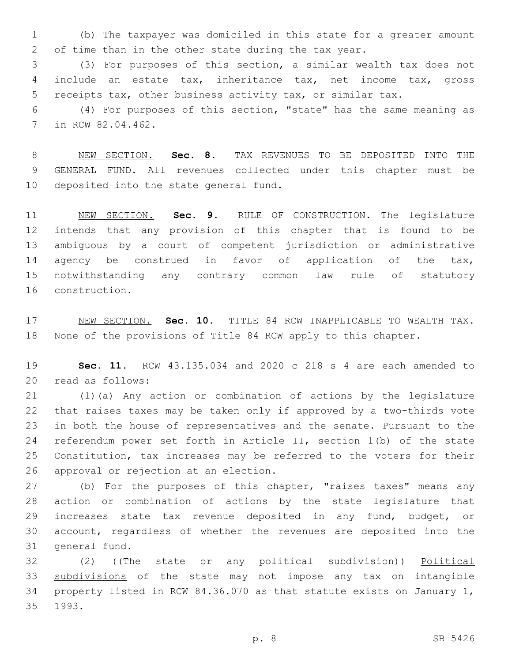(b) The taxpayer was domiciled in this state for a greater amount of time than in the other state during the tax year.

 (3) For purposes of this section, a similar wealth tax does not include an estate tax, inheritance tax, net income tax, gross receipts tax, other business activity tax, or similar tax.

 (4) For purposes of this section, "state" has the same meaning as 7 in RCW 82.04.462.

 NEW SECTION. **Sec. 8.** TAX REVENUES TO BE DEPOSITED INTO THE GENERAL FUND. All revenues collected under this chapter must be deposited into the state general fund.

 NEW SECTION. **Sec. 9.** RULE OF CONSTRUCTION. The legislature intends that any provision of this chapter that is found to be ambiguous by a court of competent jurisdiction or administrative 14 agency be construed in favor of application of the tax, notwithstanding any contrary common law rule of statutory construction.

 NEW SECTION. **Sec. 10.** TITLE 84 RCW INAPPLICABLE TO WEALTH TAX. None of the provisions of Title 84 RCW apply to this chapter.

 **Sec. 11.** RCW 43.135.034 and 2020 c 218 s 4 are each amended to read as follows:20

 (1)(a) Any action or combination of actions by the legislature that raises taxes may be taken only if approved by a two-thirds vote in both the house of representatives and the senate. Pursuant to the referendum power set forth in Article II, section 1(b) of the state Constitution, tax increases may be referred to the voters for their 26 approval or rejection at an election.

 (b) For the purposes of this chapter, "raises taxes" means any action or combination of actions by the state legislature that increases state tax revenue deposited in any fund, budget, or account, regardless of whether the revenues are deposited into the 31 general fund.

 (2) ((The state or any political subdivision)) Political subdivisions of the state may not impose any tax on intangible property listed in RCW 84.36.070 as that statute exists on January 1, 35 1993.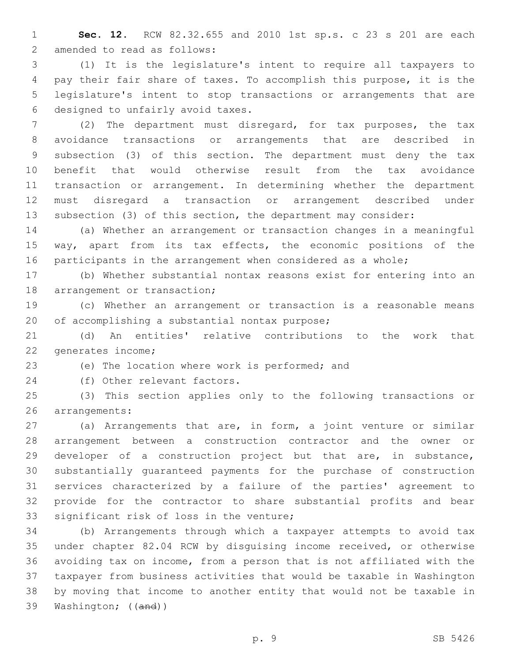**Sec. 12.** RCW 82.32.655 and 2010 1st sp.s. c 23 s 201 are each 2 amended to read as follows:

 (1) It is the legislature's intent to require all taxpayers to pay their fair share of taxes. To accomplish this purpose, it is the legislature's intent to stop transactions or arrangements that are 6 designed to unfairly avoid taxes.

 (2) The department must disregard, for tax purposes, the tax avoidance transactions or arrangements that are described in subsection (3) of this section. The department must deny the tax benefit that would otherwise result from the tax avoidance transaction or arrangement. In determining whether the department must disregard a transaction or arrangement described under subsection (3) of this section, the department may consider:

 (a) Whether an arrangement or transaction changes in a meaningful way, apart from its tax effects, the economic positions of the participants in the arrangement when considered as a whole;

 (b) Whether substantial nontax reasons exist for entering into an 18 arrangement or transaction;

 (c) Whether an arrangement or transaction is a reasonable means 20 of accomplishing a substantial nontax purpose;

 (d) An entities' relative contributions to the work that 22 generates income;

23 (e) The location where work is performed; and

24 (f) Other relevant factors.

 (3) This section applies only to the following transactions or 26 arrangements:

 (a) Arrangements that are, in form, a joint venture or similar arrangement between a construction contractor and the owner or developer of a construction project but that are, in substance, substantially guaranteed payments for the purchase of construction services characterized by a failure of the parties' agreement to provide for the contractor to share substantial profits and bear 33 significant risk of loss in the venture;

 (b) Arrangements through which a taxpayer attempts to avoid tax under chapter 82.04 RCW by disguising income received, or otherwise avoiding tax on income, from a person that is not affiliated with the taxpayer from business activities that would be taxable in Washington by moving that income to another entity that would not be taxable in Washington; ((and))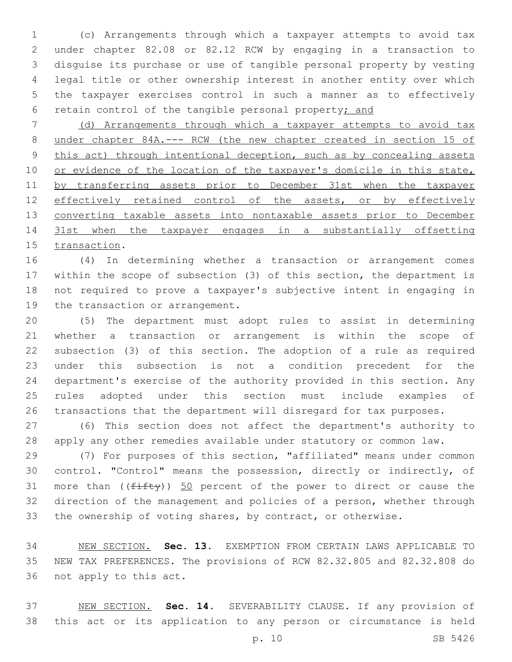(c) Arrangements through which a taxpayer attempts to avoid tax under chapter 82.08 or 82.12 RCW by engaging in a transaction to disguise its purchase or use of tangible personal property by vesting legal title or other ownership interest in another entity over which the taxpayer exercises control in such a manner as to effectively retain control of the tangible personal property; and

 (d) Arrangements through which a taxpayer attempts to avoid tax under chapter 84A.--- RCW (the new chapter created in section 15 of 9 this act) through intentional deception, such as by concealing assets 10 or evidence of the location of the taxpayer's domicile in this state, by transferring assets prior to December 31st when the taxpayer 12 effectively retained control of the assets, or by effectively 13 converting taxable assets into nontaxable assets prior to December 31st when the taxpayer engages in a substantially offsetting 15 transaction.

 (4) In determining whether a transaction or arrangement comes within the scope of subsection (3) of this section, the department is not required to prove a taxpayer's subjective intent in engaging in 19 the transaction or arrangement.

 (5) The department must adopt rules to assist in determining whether a transaction or arrangement is within the scope of subsection (3) of this section. The adoption of a rule as required under this subsection is not a condition precedent for the department's exercise of the authority provided in this section. Any rules adopted under this section must include examples of transactions that the department will disregard for tax purposes.

 (6) This section does not affect the department's authority to apply any other remedies available under statutory or common law.

 (7) For purposes of this section, "affiliated" means under common control. "Control" means the possession, directly or indirectly, of 31 more than  $(\sqrt{f\text{ifty}})$  50 percent of the power to direct or cause the direction of the management and policies of a person, whether through the ownership of voting shares, by contract, or otherwise.

 NEW SECTION. **Sec. 13.** EXEMPTION FROM CERTAIN LAWS APPLICABLE TO NEW TAX PREFERENCES. The provisions of RCW 82.32.805 and 82.32.808 do not apply to this act.

 NEW SECTION. **Sec. 14.** SEVERABILITY CLAUSE. If any provision of this act or its application to any person or circumstance is held